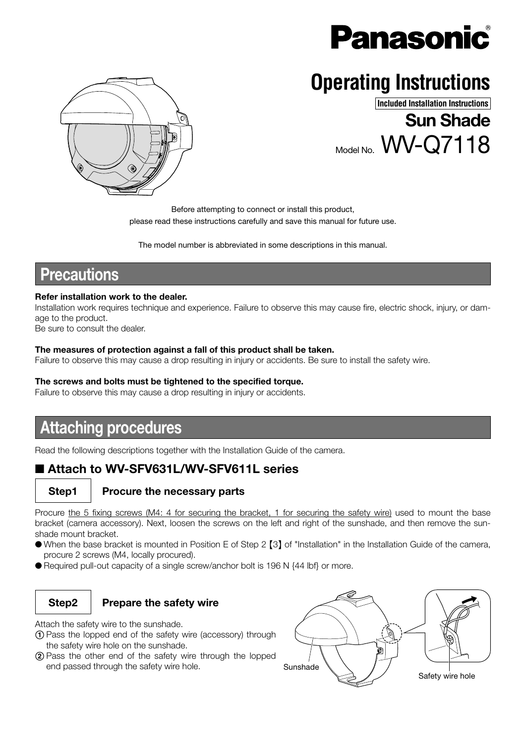

Model No. WV-Q7118

# **Operating Instructions**



#### **Included Installation Instructions**

Sun Shade

Before attempting to connect or install this product, please read these instructions carefully and save this manual for future use.

The model number is abbreviated in some descriptions in this manual.

## **Precautions**

#### Refer installation work to the dealer.

Installation work requires technique and experience. Failure to observe this may cause fire, electric shock, injury, or damage to the product.

Be sure to consult the dealer.

#### The measures of protection against a fall of this product shall be taken.

Failure to observe this may cause a drop resulting in injury or accidents. Be sure to install the safety wire.

#### The screws and bolts must be tightened to the specified torque.

Failure to observe this may cause a drop resulting in injury or accidents.

## Attaching procedures

Read the following descriptions together with the Installation Guide of the camera.

## ■ Attach to WV-SFV631L/WV-SFV611L series

### Step1 Procure the necessary parts

Procure the 5 fixing screws (M4: 4 for securing the bracket, 1 for securing the safety wire) used to mount the base bracket (camera accessory). Next, loosen the screws on the left and right of the sunshade, and then remove the sunshade mount bracket.

- When the base bracket is mounted in Position E of Step 2 {3} of "Installation" in the Installation Guide of the camera, procure 2 screws (M4, locally procured).
- Required pull-out capacity of a single screw/anchor bolt is 196 N {44 lbf} or more.

### Step2  $\parallel$  Prepare the safety wire

Attach the safety wire to the sunshade.

- 1 Pass the lopped end of the safety wire (accessory) through the safety wire hole on the sunshade.
- 2 Pass the other end of the safety wire through the lopped end passed through the safety wire hole. Sunshade

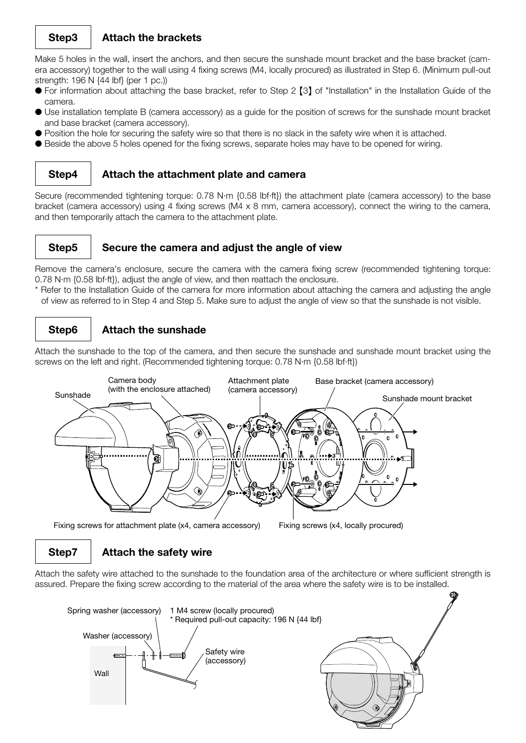#### Step3 | Attach the brackets

Make 5 holes in the wall, insert the anchors, and then secure the sunshade mount bracket and the base bracket (camera accessory) together to the wall using 4 fixing screws (M4, locally procured) as illustrated in Step 6. (Minimum pull-out strength: 196 N {44 lbf} (per 1 pc.))

- For information about attaching the base bracket, refer to Step 2 [3] of "Installation" in the Installation Guide of the camera.
- Use installation template B (camera accessory) as a guide for the position of screws for the sunshade mount bracket and base bracket (camera accessory).
- Position the hole for securing the safety wire so that there is no slack in the safety wire when it is attached.
- Beside the above 5 holes opened for the fixing screws, separate holes may have to be opened for wiring.

#### Step4 | Attach the attachment plate and camera

Secure (recommended tightening torque: 0.78 N·m {0.58 lbf·ft}) the attachment plate (camera accessory) to the base bracket (camera accessory) using 4 fixing screws (M4 x 8 mm, camera accessory), connect the wiring to the camera, and then temporarily attach the camera to the attachment plate.

#### Step5  $\parallel$  Secure the camera and adjust the angle of view

Remove the camera's enclosure, secure the camera with the camera fixing screw (recommended tightening torque: 0.78 N·m {0.58 lbf·ft}), adjust the angle of view, and then reattach the enclosure.

\* Refer to the Installation Guide of the camera for more information about attaching the camera and adjusting the angle of view as referred to in Step 4 and Step 5. Make sure to adjust the angle of view so that the sunshade is not visible.

### Step6 | Attach the sunshade

Attach the sunshade to the top of the camera, and then secure the sunshade and sunshade mount bracket using the screws on the left and right. (Recommended tightening torque: 0.78 N·m {0.58 lbf·ft})



Fixing screws for attachment plate (x4, camera accessory) Fixing screws (x4, locally procured)

### $Step 7$  | Attach the safety wire

Attach the safety wire attached to the sunshade to the foundation area of the architecture or where sufficient strength is assured. Prepare the fixing screw according to the material of the area where the safety wire is to be installed.

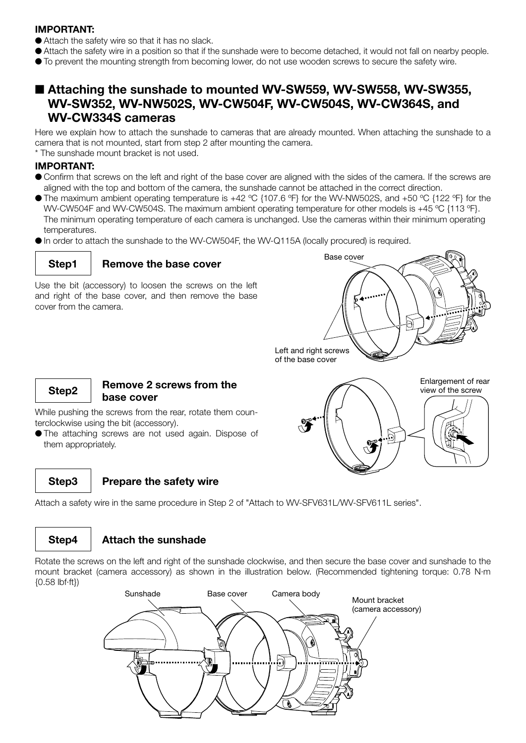#### IMPORTANT:

- Attach the safety wire so that it has no slack.
- Attach the safety wire in a position so that if the sunshade were to become detached, it would not fall on nearby people.
- To prevent the mounting strength from becoming lower, do not use wooden screws to secure the safety wire.

### ■ Attaching the sunshade to mounted WV-SW559, WV-SW558, WV-SW355, WV-SW352, WV-NW502S, WV-CW504F, WV-CW504S, WV-CW364S, and WV-CW334S cameras

Here we explain how to attach the sunshade to cameras that are already mounted. When attaching the sunshade to a camera that is not mounted, start from step 2 after mounting the camera.

\* The sunshade mount bracket is not used.

#### IMPORTANT:

- Confirm that screws on the left and right of the base cover are aligned with the sides of the camera. If the screws are aligned with the top and bottom of the camera, the sunshade cannot be attached in the correct direction.
- The maximum ambient operating temperature is  $+42$  °C {107.6 °F} for the WV-NW502S, and  $+50$  °C {122 °F} for the WV-CW504F and WV-CW504S. The maximum ambient operating temperature for other models is +45 °C {113 °F}. The minimum operating temperature of each camera is unchanged. Use the cameras within their minimum operating temperatures.
- In order to attach the sunshade to the WV-CW504F, the WV-Q115A (locally procured) is required.



#### Step1 | Remove the base cover

Use the bit (accessory) to loosen the screws on the left and right of the base cover, and then remove the base cover from the camera.





#### Step2 Remove 2 screws from the base cover

While pushing the screws from the rear, rotate them counterclockwise using the bit (accessory).

● The attaching screws are not used again. Dispose of them appropriately.

### Step3  $\parallel$  Prepare the safety wire

Attach a safety wire in the same procedure in Step 2 of "Attach to WV-SFV631L/WV-SFV611L series".

### Step4 | Attach the sunshade

Rotate the screws on the left and right of the sunshade clockwise, and then secure the base cover and sunshade to the mount bracket (camera accessory) as shown in the illustration below. (Recommended tightening torque: 0.78 N·m {0.58 lbf·ft})